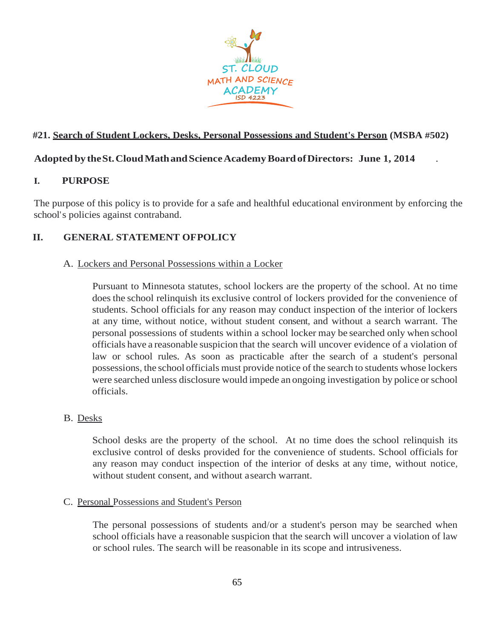

## **#21. Search of Student Lockers, Desks, Personal Possessions and Student's Person (MSBA #502)**

### **Adopted by theSt.CloudMathandScienceAcademyBoardofDirectors: June 1, 2014** .

### **I. PURPOSE**

The purpose of this policy is to provide for a safe and healthful educational environment by enforcing the school's policies against contraband.

## **II. GENERAL STATEMENT OFPOLICY**

#### A. Lockers and Personal Possessions within a Locker

Pursuant to Minnesota statutes, school lockers are the property of the school. At no time doesthe school relinquish its exclusive control of lockers provided for the convenience of students. School officials for any reason may conduct inspection of the interior of lockers at any time, without notice, without student consent, and without a search warrant. The personal possessions of students within a school locker may be searched only when school officials have a reasonable suspicion that the search will uncover evidence of a violation of law or school rules. As soon as practicable after the search of a student's personal possessions, the school officials must provide notice of the search to students whose lockers were searched unless disclosure would impede an ongoing investigation by police orschool officials.

### B. Desks

School desks are the property of the school. At no time does the school relinquish its exclusive control of desks provided for the convenience of students. School officials for any reason may conduct inspection of the interior of desks at any time, without notice, without student consent, and without asearch warrant.

#### C. Personal Possessions and Student's Person

The personal possessions of students and/or a student's person may be searched when school officials have a reasonable suspicion that the search will uncover a violation of law or school rules. The search will be reasonable in its scope and intrusiveness.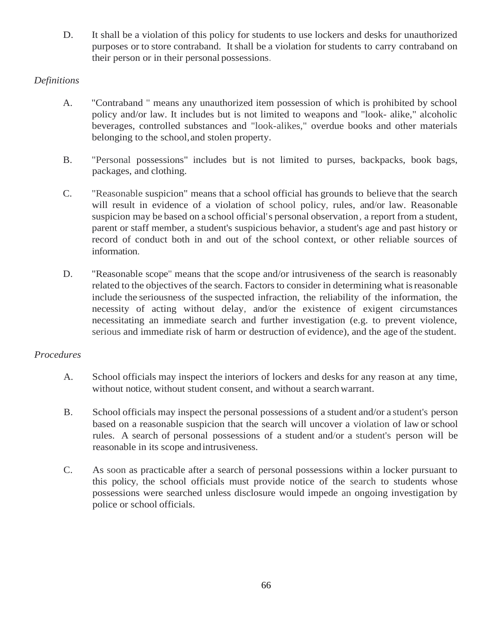D. It shall be a violation of this policy for students to use lockers and desks for unauthorized purposes or to store contraband. Itshall be a violation for students to carry contraband on their person or in their personal possessions.

## *Definitions*

- A. "Contraband " means any unauthorized item possession of which is prohibited by school policy and/or law. It includes but is not limited to weapons and "look- alike," alcoholic beverages, controlled substances and "look-alikes," overdue books and other materials belonging to the school,and stolen property.
- B. "Personal possessions" includes but is not limited to purses, backpacks, book bags, packages, and clothing.
- C. "Reasonable suspicion" means that a school official has grounds to believe that the search will result in evidence of a violation of school policy, rules, and/or law. Reasonable suspicion may be based on a school official's personal observation, a report from a student, parent or staff member, a student's suspicious behavior, a student's age and past history or record of conduct both in and out of the school context, or other reliable sources of information.
- D. "Reasonable scope" means that the scope and/or intrusiveness of the search is reasonably related to the objectives of the search. Factors to consider in determining what isreasonable include the seriousness of the suspected infraction, the reliability of the information, the necessity of acting without delay, and/or the existence of exigent circumstances necessitating an immediate search and further investigation (e.g. to prevent violence, serious and immediate risk of harm or destruction of evidence), and the age of the student.

# *Procedures*

- A. School officials may inspect the interiors of lockers and desks for any reason at any time, without notice, without student consent, and without a search warrant.
- B. School officials may inspect the personal possessions of a student and/or a student's person based on a reasonable suspicion that the search will uncover a violation of law or school rules. A search of personal possessions of a student and/or a student's person will be reasonable in its scope andintrusiveness.
- C. As soon as practicable after a search of personal possessions within a locker pursuant to this policy, the school officials must provide notice of the search to students whose possessions were searched unless disclosure would impede an ongoing investigation by police or school officials.